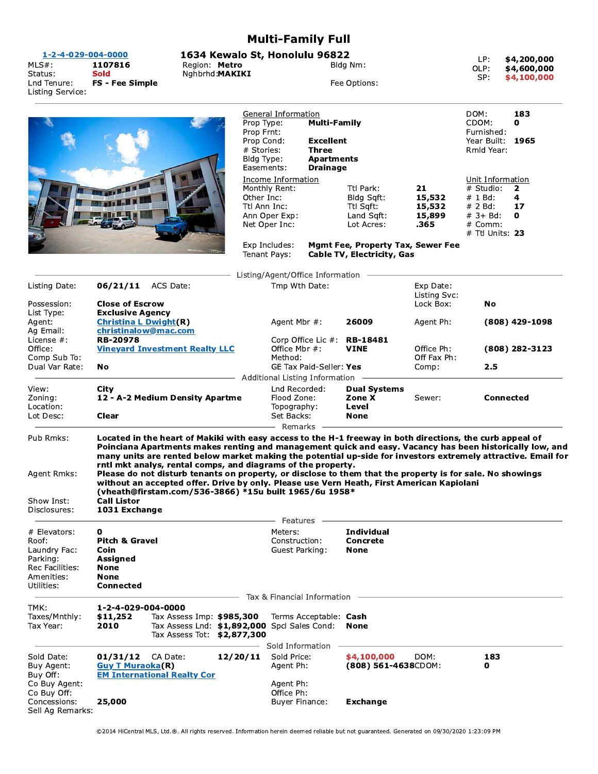|                                                                                                  |                                                                                               |                                                                                                                                                                                                                                                                                                                                                                                                                                                                                                                                                                                                                                                                            |                                                                                                                                                                                                            |                                                                       | <b>Multi-Family Full</b>                      |                                                                        |                                                               |                                                                                                    |                                           |
|--------------------------------------------------------------------------------------------------|-----------------------------------------------------------------------------------------------|----------------------------------------------------------------------------------------------------------------------------------------------------------------------------------------------------------------------------------------------------------------------------------------------------------------------------------------------------------------------------------------------------------------------------------------------------------------------------------------------------------------------------------------------------------------------------------------------------------------------------------------------------------------------------|------------------------------------------------------------------------------------------------------------------------------------------------------------------------------------------------------------|-----------------------------------------------------------------------|-----------------------------------------------|------------------------------------------------------------------------|---------------------------------------------------------------|----------------------------------------------------------------------------------------------------|-------------------------------------------|
| 1-2-4-029-004-0000<br>$MLS#$ :<br>Status:<br>Lnd Tenure:<br>Listing Service:                     | 1107816<br>Region: Metro<br>Nghbrhd: MAKIKI<br>Sold<br><b>FS - Fee Simple</b>                 |                                                                                                                                                                                                                                                                                                                                                                                                                                                                                                                                                                                                                                                                            |                                                                                                                                                                                                            | 1634 Kewalo St, Honolulu 96822<br>Bldg Nm:<br>Fee Options:            |                                               |                                                                        |                                                               | LP:<br>OLP:<br>SP:                                                                                 | \$4,200,000<br>\$4,600,000<br>\$4,100,000 |
|                                                                                                  |                                                                                               |                                                                                                                                                                                                                                                                                                                                                                                                                                                                                                                                                                                                                                                                            | General Information<br>Prop Type:<br><b>Multi-Family</b><br>Prop Frnt:<br>Prop Cond:<br><b>Excellent</b><br><b>Three</b><br># Stories:<br>Bldg Type:<br><b>Apartments</b><br>Easements:<br><b>Drainage</b> |                                                                       |                                               |                                                                        | DOM:<br>CDOM:<br>Furnished:<br>Year Built: 1965<br>Rmld Year: | 183<br>0                                                                                           |                                           |
|                                                                                                  |                                                                                               |                                                                                                                                                                                                                                                                                                                                                                                                                                                                                                                                                                                                                                                                            | Other Inc:<br>Ttl Ann Inc:                                                                                                                                                                                 | Income Information<br>Monthly Rent:<br>Ann Oper Exp:<br>Net Oper Inc: |                                               | Ttl Park:<br>Bldg Sqft:<br>Ttl Sqft:<br>Land Sqft:<br>Lot Acres:       | 21<br>15,532<br>15,532<br>15,899<br>.365                      | Unit Information<br># Studio:<br># 1 Bd:<br># 2 Bd:<br>$# 3 + Bd:$<br># Comm:<br>$#$ Ttl Units: 23 | 2<br>4<br>17<br>$\mathbf 0$               |
|                                                                                                  |                                                                                               |                                                                                                                                                                                                                                                                                                                                                                                                                                                                                                                                                                                                                                                                            |                                                                                                                                                                                                            | Exp Includes:<br>Tenant Pays:                                         |                                               | <b>Mgmt Fee, Property Tax, Sewer Fee</b><br>Cable TV, Electricity, Gas |                                                               |                                                                                                    |                                           |
|                                                                                                  |                                                                                               |                                                                                                                                                                                                                                                                                                                                                                                                                                                                                                                                                                                                                                                                            |                                                                                                                                                                                                            |                                                                       | Listing/Agent/Office Information              |                                                                        |                                                               |                                                                                                    |                                           |
| Listing Date:<br>Possession:                                                                     | 06/21/11<br>ACS Date:<br><b>Close of Escrow</b>                                               |                                                                                                                                                                                                                                                                                                                                                                                                                                                                                                                                                                                                                                                                            | Tmp Wth Date:                                                                                                                                                                                              |                                                                       |                                               | Exp Date:<br>Listing Svc:<br>Lock Box:                                 | No                                                            |                                                                                                    |                                           |
| List Type:<br>Agent:<br>Ag Email:                                                                | <b>Exclusive Agency</b><br><b>Christina L Dwight(R)</b><br>christinalow@mac.com               |                                                                                                                                                                                                                                                                                                                                                                                                                                                                                                                                                                                                                                                                            |                                                                                                                                                                                                            | Agent Mbr #:                                                          |                                               | 26009                                                                  | Agent Ph:                                                     |                                                                                                    | $(808)$ 429-1098                          |
| License $#$ :<br>Office:<br>Comp Sub To:<br>Dual Var Rate:                                       | <b>RB-20978</b><br><b>Vineyard Investment Realty LLC</b>                                      |                                                                                                                                                                                                                                                                                                                                                                                                                                                                                                                                                                                                                                                                            | Office Mbr #:<br>Method:                                                                                                                                                                                   |                                                                       | Corp Office Lic $#$ : RB-18481<br><b>VINE</b> | Office Ph:<br>Off Fax Ph:<br>Comp:                                     | 2.5                                                           | $(808)$ 282-3123                                                                                   |                                           |
|                                                                                                  | No                                                                                            |                                                                                                                                                                                                                                                                                                                                                                                                                                                                                                                                                                                                                                                                            | GE Tax Paid-Seller: Yes<br>Additional Listing Information                                                                                                                                                  |                                                                       |                                               |                                                                        |                                                               |                                                                                                    |                                           |
| View:<br>Zoning:<br>Location:<br>Lot Desc:                                                       | City<br>12 - A-2 Medium Density Apartme<br>Clear                                              |                                                                                                                                                                                                                                                                                                                                                                                                                                                                                                                                                                                                                                                                            |                                                                                                                                                                                                            | Lnd Recorded:<br>Flood Zone:<br>Topography:<br>Set Backs:             |                                               | <b>Dual Systems</b><br>Zone X<br>Level<br><b>None</b>                  | <b>Connected</b><br>Sewer:                                    |                                                                                                    |                                           |
| Pub Rmks:<br>Agent Rmks:<br>Show Inst:<br>Disclosures:                                           | <b>Call Listor</b><br>1031 Exchange                                                           | Located in the heart of Makiki with easy access to the H-1 freeway in both directions, the curb appeal of<br>Poinciana Apartments makes renting and management quick and easy. Vacancy has been historically low, and<br>many units are rented below market making the potential up-side for investors extremely attractive. Email for<br>rntl mkt analys, rental comps, and diagrams of the property.<br>Please do not disturb tenants on property, or disclose to them that the property is for sale. No showings<br>without an accepted offer. Drive by only. Please use Vern Heath, First American Kapiolani<br>(vheath@firstam.com/536-3866) *15u built 1965/6u 1958* |                                                                                                                                                                                                            | Remarks                                                               |                                               |                                                                        |                                                               |                                                                                                    |                                           |
| # Elevators:<br>Roof:<br>Laundry Fac:<br>Parking:<br>Rec Facilities:<br>Amenities:<br>Utilities: | 0<br><b>Pitch &amp; Gravel</b><br>Coin<br>Assigned<br>None<br><b>None</b><br><b>Connected</b> |                                                                                                                                                                                                                                                                                                                                                                                                                                                                                                                                                                                                                                                                            |                                                                                                                                                                                                            | Features<br>Meters:<br>Construction:<br>Guest Parking:                |                                               | <b>Individual</b><br><b>Concrete</b><br><b>None</b>                    |                                                               |                                                                                                    |                                           |
| TMK:                                                                                             | 1-2-4-029-004-0000                                                                            |                                                                                                                                                                                                                                                                                                                                                                                                                                                                                                                                                                                                                                                                            |                                                                                                                                                                                                            |                                                                       | Tax & Financial Information                   |                                                                        |                                                               |                                                                                                    |                                           |
| Taxes/Mnthly:<br>Tax Year:                                                                       | \$11,252<br>2010                                                                              | Tax Assess Imp: \$985,300<br>Tax Assess Lnd: \$1,892,000 Spcl Sales Cond:<br>Tax Assess Tot: \$2,877,300                                                                                                                                                                                                                                                                                                                                                                                                                                                                                                                                                                   |                                                                                                                                                                                                            | Sold Information                                                      | Terms Acceptable: Cash                        | None                                                                   |                                                               |                                                                                                    |                                           |
| Sold Date:<br>Buy Agent:<br>Buy Off:<br>Co Buy Agent:                                            | 01/31/12<br><b>Guy T Muraoka(R)</b>                                                           | CA Date:<br><b>EM International Realty Cor</b>                                                                                                                                                                                                                                                                                                                                                                                                                                                                                                                                                                                                                             | 12/20/11                                                                                                                                                                                                   | Sold Price:<br>Agent Ph:<br>Agent Ph:                                 |                                               | \$4,100,000<br>$(808)$ 561-4638CDOM:                                   | DOM:                                                          | 183<br>0                                                                                           |                                           |
| Co Buy Off:<br>Concessions:<br>Sell Ag Remarks:                                                  | 25,000                                                                                        |                                                                                                                                                                                                                                                                                                                                                                                                                                                                                                                                                                                                                                                                            |                                                                                                                                                                                                            | Office Ph:<br><b>Buyer Finance:</b>                                   |                                               | <b>Exchange</b>                                                        |                                                               |                                                                                                    |                                           |

@2014 HiCentral MLS, Ltd.@. All rights reserved. Information herein deemed reliable but not guaranteed. Generated on 09/30/2020 1:23:09 PM